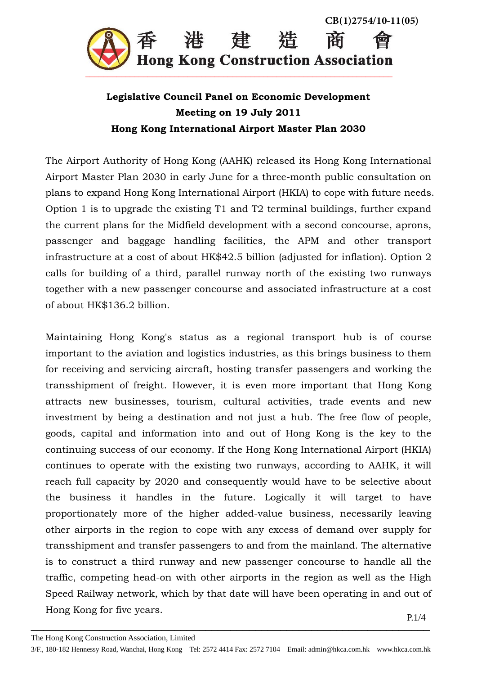

## **Legislative Council Panel on Economic Development Meeting on 19 July 2011 Hong Kong International Airport Master Plan 2030**

The Airport Authority of Hong Kong (AAHK) released its Hong Kong International Airport Master Plan 2030 in early June for a three-month public consultation on plans to expand Hong Kong International Airport (HKIA) to cope with future needs. Option 1 is to upgrade the existing T1 and T2 terminal buildings, further expand the current plans for the Midfield development with a second concourse, aprons, passenger and baggage handling facilities, the APM and other transport infrastructure at a cost of about HK\$42.5 billion (adjusted for inflation). Option 2 calls for building of a third, parallel runway north of the existing two runways together with a new passenger concourse and associated infrastructure at a cost of about HK\$136.2 billion.

Maintaining Hong Kong's status as a regional transport hub is of course important to the aviation and logistics industries, as this brings business to them for receiving and servicing aircraft, hosting transfer passengers and working the transshipment of freight. However, it is even more important that Hong Kong attracts new businesses, tourism, cultural activities, trade events and new investment by being a destination and not just a hub. The free flow of people, goods, capital and information into and out of Hong Kong is the key to the continuing success of our economy. If the Hong Kong International Airport (HKIA) continues to operate with the existing two runways, according to AAHK, it will reach full capacity by 2020 and consequently would have to be selective about the business it handles in the future. Logically it will target to have proportionately more of the higher added-value business, necessarily leaving other airports in the region to cope with any excess of demand over supply for transshipment and transfer passengers to and from the mainland. The alternative is to construct a third runway and new passenger concourse to handle all the traffic, competing head-on with other airports in the region as well as the High Speed Railway network, which by that date will have been operating in and out of Hong Kong for five years.  $P.1/4$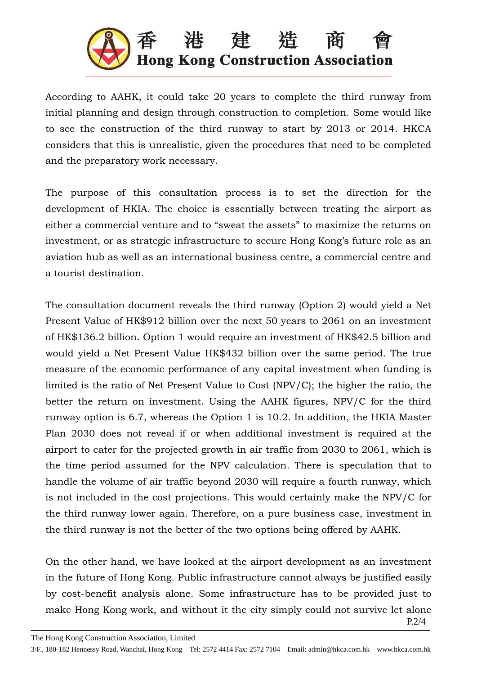

According to AAHK, it could take 20 years to complete the third runway from initial planning and design through construction to completion. Some would like to see the construction of the third runway to start by 2013 or 2014. HKCA considers that this is unrealistic, given the procedures that need to be completed and the preparatory work necessary.

The purpose of this consultation process is to set the direction for the development of HKIA. The choice is essentially between treating the airport as either a commercial venture and to "sweat the assets" to maximize the returns on investment, or as strategic infrastructure to secure Hong Kong's future role as an aviation hub as well as an international business centre, a commercial centre and a tourist destination.

The consultation document reveals the third runway (Option 2) would yield a Net Present Value of HK\$912 billion over the next 50 years to 2061 on an investment of HK\$136.2 billion. Option 1 would require an investment of HK\$42.5 billion and would yield a Net Present Value HK\$432 billion over the same period. The true measure of the economic performance of any capital investment when funding is limited is the ratio of Net Present Value to Cost (NPV/C); the higher the ratio, the better the return on investment. Using the AAHK figures, NPV/C for the third runway option is 6.7, whereas the Option 1 is 10.2. In addition, the HKIA Master Plan 2030 does not reveal if or when additional investment is required at the airport to cater for the projected growth in air traffic from 2030 to 2061, which is the time period assumed for the NPV calculation. There is speculation that to handle the volume of air traffic beyond 2030 will require a fourth runway, which is not included in the cost projections. This would certainly make the NPV/C for the third runway lower again. Therefore, on a pure business case, investment in the third runway is not the better of the two options being offered by AAHK.

On the other hand, we have looked at the airport development as an investment in the future of Hong Kong. Public infrastructure cannot always be justified easily by cost-benefit analysis alone. Some infrastructure has to be provided just to make Hong Kong work, and without it the city simply could not survive let alone

 $_{P.2/4}$ P.2/4

The Hong Kong Construction Association, Limited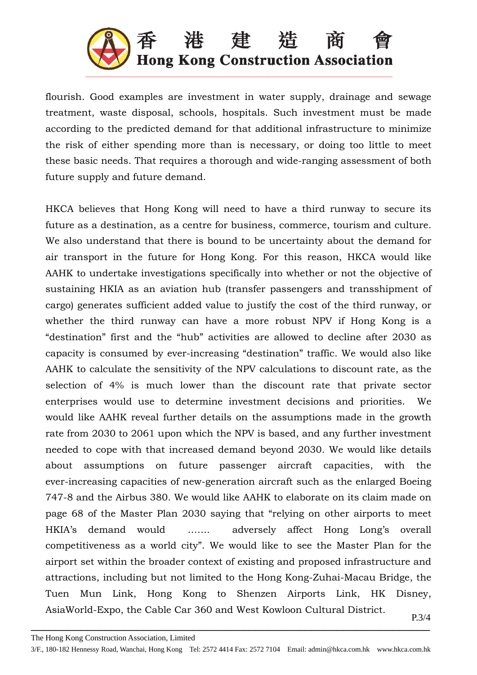

flourish. Good examples are investment in water supply, drainage and sewage treatment, waste disposal, schools, hospitals. Such investment must be made according to the predicted demand for that additional infrastructure to minimize the risk of either spending more than is necessary, or doing too little to meet these basic needs. That requires a thorough and wide-ranging assessment of both future supply and future demand.

HKCA believes that Hong Kong will need to have a third runway to secure its future as a destination, as a centre for business, commerce, tourism and culture. We also understand that there is bound to be uncertainty about the demand for air transport in the future for Hong Kong. For this reason, HKCA would like AAHK to undertake investigations specifically into whether or not the objective of sustaining HKIA as an aviation hub (transfer passengers and transshipment of cargo) generates sufficient added value to justify the cost of the third runway, or whether the third runway can have a more robust NPV if Hong Kong is a "destination" first and the "hub" activities are allowed to decline after 2030 as capacity is consumed by ever-increasing "destination" traffic. We would also like AAHK to calculate the sensitivity of the NPV calculations to discount rate, as the selection of 4% is much lower than the discount rate that private sector enterprises would use to determine investment decisions and priorities. We would like AAHK reveal further details on the assumptions made in the growth rate from 2030 to 2061 upon which the NPV is based, and any further investment needed to cope with that increased demand beyond 2030. We would like details about assumptions on future passenger aircraft capacities, with the ever-increasing capacities of new-generation aircraft such as the enlarged Boeing 747-8 and the Airbus 380. We would like AAHK to elaborate on its claim made on page 68 of the Master Plan 2030 saying that "relying on other airports to meet HKIA's demand would ……. adversely affect Hong Long's overall competitiveness as a world city". We would like to see the Master Plan for the airport set within the broader context of existing and proposed infrastructure and attractions, including but not limited to the Hong Kong-Zuhai-Macau Bridge, the Tuen Mun Link, Hong Kong to Shenzen Airports Link, HK Disney, AsiaWorld-Expo, the Cable Car 360 and West Kowloon Cultural District.  $P.3/4$ 

The Hong Kong Construction Association, Limited